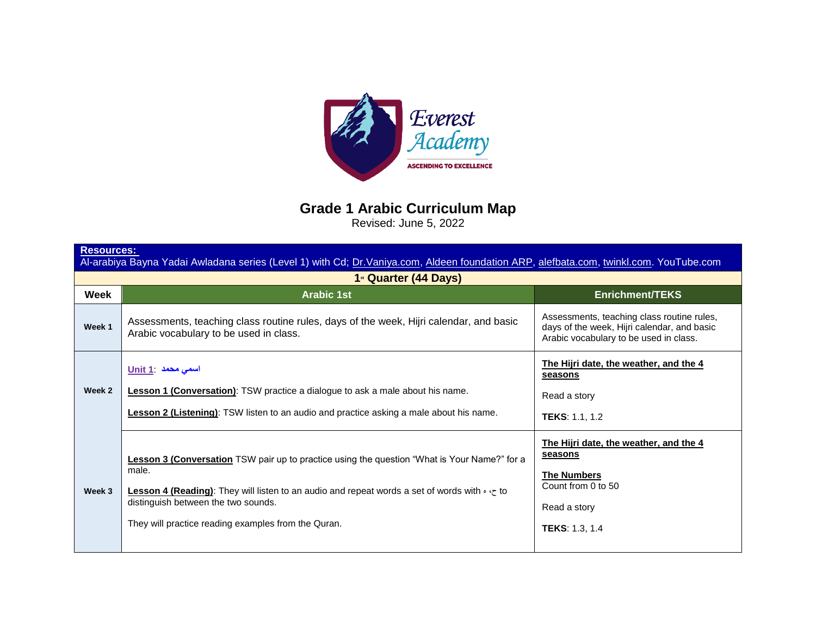

**Grade 1 Arabic Curriculum Map**

Revised: June 5, 2022

| <b>Resources:</b><br>Al-arabiya Bayna Yadai Awladana series (Level 1) with Cd; Dr. Vaniya.com, Aldeen foundation ARP, alefbata.com, twinkl.com. YouTube.com |                                                                                                                                                                                                                                                                                                                     |                                                                                                                                        |
|-------------------------------------------------------------------------------------------------------------------------------------------------------------|---------------------------------------------------------------------------------------------------------------------------------------------------------------------------------------------------------------------------------------------------------------------------------------------------------------------|----------------------------------------------------------------------------------------------------------------------------------------|
| 1 <sup>st</sup> Quarter (44 Days)                                                                                                                           |                                                                                                                                                                                                                                                                                                                     |                                                                                                                                        |
| Week                                                                                                                                                        | <b>Arabic 1st</b>                                                                                                                                                                                                                                                                                                   | <b>Enrichment/TEKS</b>                                                                                                                 |
| Week 1                                                                                                                                                      | Assessments, teaching class routine rules, days of the week, Hijri calendar, and basic<br>Arabic vocabulary to be used in class.                                                                                                                                                                                    | Assessments, teaching class routine rules,<br>days of the week, Hijri calendar, and basic<br>Arabic vocabulary to be used in class.    |
| Week 2                                                                                                                                                      | اسمی محمد Unit 1<br><b>Lesson 1 (Conversation)</b> : TSW practice a dialogue to ask a male about his name.<br><b>Lesson 2 (Listening):</b> TSW listen to an audio and practice asking a male about his name.                                                                                                        | The Hijri date, the weather, and the 4<br>seasons<br>Read a story<br>TEKS: 1.1, 1.2                                                    |
| Week 3                                                                                                                                                      | Lesson 3 (Conversation TSW pair up to practice using the question "What is Your Name?" for a<br>male.<br>Lesson 4 (Reading): They will listen to an audio and repeat words a set of words with $\cdot \cdot \cdot$ to<br>distinguish between the two sounds.<br>They will practice reading examples from the Quran. | The Hijri date, the weather, and the 4<br>seasons<br><b>The Numbers</b><br>Count from 0 to 50<br>Read a story<br><b>TEKS: 1.3, 1.4</b> |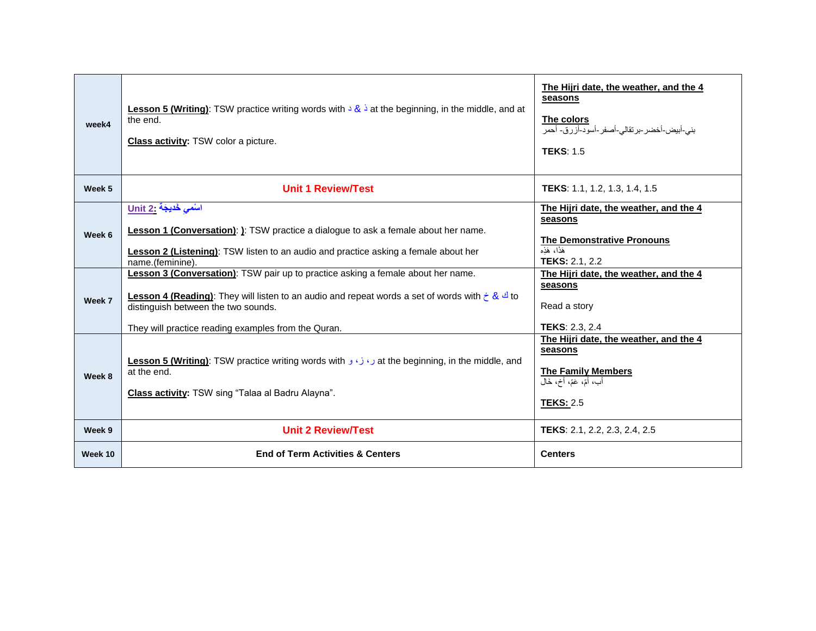| week4   | <b>Lesson 5 (Writing):</b> TSW practice writing words with $\frac{1}{2}$ at the beginning, in the middle, and at<br>the end.<br><b>Class activity:</b> TSW color a picture.                                                                                                                                                 | The Hijri date, the weather, and the 4<br>seasons<br><u>The colors</u><br>بني-أبيض-أخضر-برتقالي-أصفر-أسود-أزرق- أحمر<br><b>TEKS: 1.5</b>                                   |
|---------|-----------------------------------------------------------------------------------------------------------------------------------------------------------------------------------------------------------------------------------------------------------------------------------------------------------------------------|----------------------------------------------------------------------------------------------------------------------------------------------------------------------------|
| Week 5  | <b>Unit 1 Review/Test</b>                                                                                                                                                                                                                                                                                                   | <b>TEKS:</b> 1.1, 1.2, 1.3, 1.4, 1.5                                                                                                                                       |
| Week 6  | اسْمى خُديجَة .Unit 2<br><b>Lesson 1 (Conversation)</b> : ): TSW practice a dialogue to ask a female about her name.<br><b>Lesson 2 (Listening)</b> : TSW listen to an audio and practice asking a female about her<br>name.(feminine).<br>Lesson 3 (Conversation): TSW pair up to practice asking a female about her name. | The Hijri date, the weather, and the 4<br>seasons<br><b>The Demonstrative Pronouns</b><br>هَٰذَا، هَذِه<br><b>TEKS: 2.1, 2.2</b><br>The Hijri date, the weather, and the 4 |
| Week 7  | to Lesson 4 (Reading): They will listen to an audio and repeat words a set of words with $\zeta$ & <sup>1</sup> to<br>distinguish between the two sounds.<br>They will practice reading examples from the Quran.                                                                                                            | seasons<br>Read a story<br><b>TEKS: 2.3, 2.4</b>                                                                                                                           |
| Week 8  | at the beginning, in the middle, and رو ازو و Lesson 5 (Writing): TSW practice writing words with<br>at the end.<br>Class activity: TSW sing "Talaa al Badru Alayna".                                                                                                                                                       | The Hijri date, the weather, and the 4<br>seasons<br><b>The Family Members</b><br>أَبٍ، أَمٍّ، عَمٍّ، أَخ، خَالَ<br><b>TEKS: 2.5</b>                                       |
| Week 9  | <b>Unit 2 Review/Test</b>                                                                                                                                                                                                                                                                                                   | TEKS: 2.1, 2.2, 2.3, 2.4, 2.5                                                                                                                                              |
| Week 10 | <b>End of Term Activities &amp; Centers</b>                                                                                                                                                                                                                                                                                 | <b>Centers</b>                                                                                                                                                             |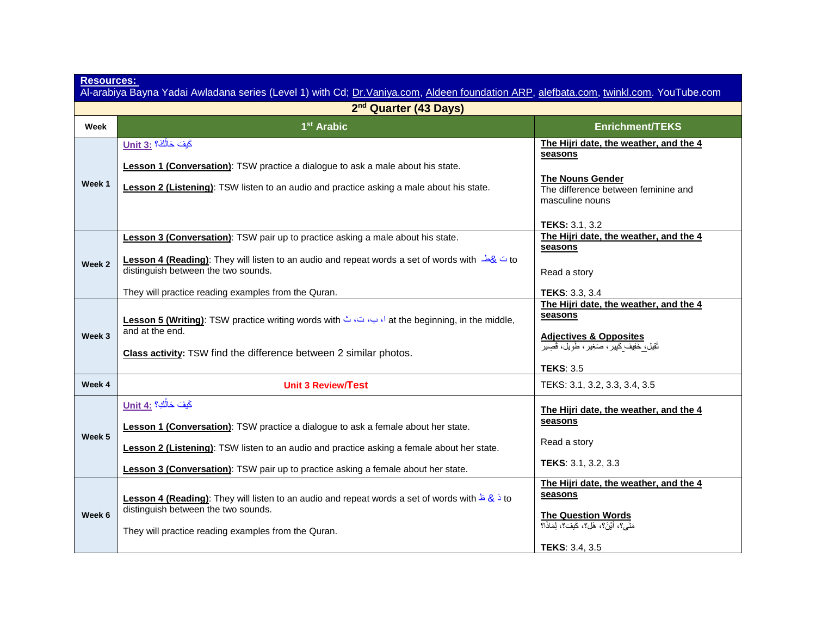| <b>Resources:</b><br>Al-arabiya Bayna Yadai Awladana series (Level 1) with Cd; Dr. Vaniya.com, Aldeen foundation ARP, alefbata.com, twinkl.com. YouTube.com |                                                                                                                                                                                                                                                                                                                         |                                                                                                                                                                 |  |
|-------------------------------------------------------------------------------------------------------------------------------------------------------------|-------------------------------------------------------------------------------------------------------------------------------------------------------------------------------------------------------------------------------------------------------------------------------------------------------------------------|-----------------------------------------------------------------------------------------------------------------------------------------------------------------|--|
|                                                                                                                                                             | 2 <sup>nd</sup> Quarter (43 Days)                                                                                                                                                                                                                                                                                       |                                                                                                                                                                 |  |
| Week                                                                                                                                                        | 1 <sup>st</sup> Arabic                                                                                                                                                                                                                                                                                                  | <b>Enrichment/TEKS</b>                                                                                                                                          |  |
| Week 1                                                                                                                                                      | كَيفَ حَالُكَ؟ : Unit 3<br>Lesson 1 (Conversation): TSW practice a dialogue to ask a male about his state.<br>Lesson 2 (Listening): TSW listen to an audio and practice asking a male about his state.                                                                                                                  | The Hijri date, the weather, and the 4<br>seasons<br>The Nouns Gender<br>The difference between feminine and<br>masculine nouns<br><b>TEKS: 3.1, 3.2</b>        |  |
| Week 2                                                                                                                                                      | <b>Lesson 3 (Conversation)</b> : TSW pair up to practice asking a male about his state.<br>to in the yould listen to an audio and repeat words a set of words with $\frac{1}{8}$ to<br>distinguish between the two sounds.<br>They will practice reading examples from the Quran.                                       | The Hijri date, the weather, and the 4<br>seasons<br>Read a story<br><b>TEKS: 3.3, 3.4</b>                                                                      |  |
| Week 3                                                                                                                                                      | ,at the beginning, in the middle, الصوت في at the beginning, in the middle,<br>and at the end.<br>Class activity: TSW find the difference between 2 similar photos.                                                                                                                                                     | The Hijri date, the weather, and the 4<br>seasons<br><b>Adjectives &amp; Opposites</b><br>تَقِيل، خَفِيفٌ كَبِيرٌ، صَغِيرٌ، طَوِيلٌ، قَصِير<br><b>TEKS: 3.5</b> |  |
| Week 4                                                                                                                                                      | <b>Unit 3 Review/Test</b>                                                                                                                                                                                                                                                                                               | TEKS: 3.1, 3.2, 3.3, 3.4, 3.5                                                                                                                                   |  |
| Week 5                                                                                                                                                      | كَيفَ حَالُكِ؟ : Unit 4<br><b>Lesson 1 (Conversation)</b> : TSW practice a dialogue to ask a female about her state.<br><b>Lesson 2 (Listening)</b> : TSW listen to an audio and practice asking a female about her state.<br><b>Lesson 3 (Conversation)</b> : TSW pair up to practice asking a female about her state. | The Hijri date, the weather, and the 4<br>seasons<br>Read a story<br>TEKS: 3.1, 3.2, 3.3                                                                        |  |
| Week 6                                                                                                                                                      | to is the Soon 4 (Reading): They will listen to an audio and repeat words a set of words with $\frac{1}{2}$ & $\frac{1}{2}$ to<br>distinguish between the two sounds.<br>They will practice reading examples from the Quran.                                                                                            | The Hijri date, the weather, and the 4<br>seasons<br><b>The Question Words</b><br>مَتَى؟، أَيْنَ؟، هَلْ؟، كَيفَ؟، لِمَاذَا؟<br><b>TEKS: 3.4, 3.5</b>            |  |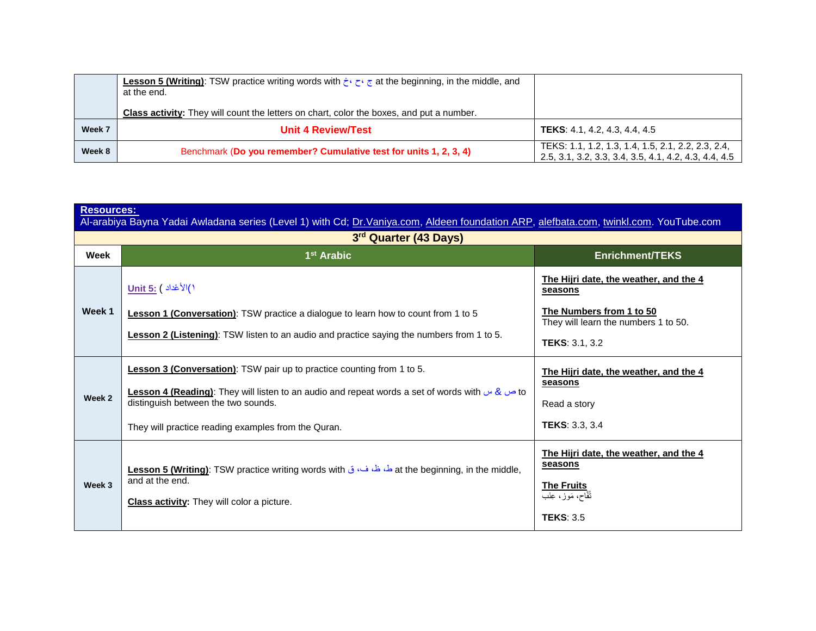|        | <b>Lesson 5 (Writing):</b> TSW practice writing words with $\frac{1}{2}$ at the beginning, in the middle, and<br>at the end. |                                                                                                             |
|--------|------------------------------------------------------------------------------------------------------------------------------|-------------------------------------------------------------------------------------------------------------|
|        | <b>Class activity:</b> They will count the letters on chart, color the boxes, and put a number.                              |                                                                                                             |
| Week 7 | <b>Unit 4 Review/Test</b>                                                                                                    | <b>TEKS:</b> 4.1, 4.2, 4.3, 4.4, 4.5                                                                        |
| Week 8 | Benchmark (Do you remember? Cumulative test for units 1, 2, 3, 4)                                                            | TEKS: 1.1, 1.2, 1.3, 1.4, 1.5, 2.1, 2.2, 2.3, 2.4,<br>2.5, 3.1, 3.2, 3.3, 3.4, 3.5, 4.1, 4.2, 4.3, 4.4, 4.5 |

| <b>Resources:</b><br>Al-arabiya Bayna Yadai Awladana series (Level 1) with Cd; Dr.Vaniya.com, Aldeen foundation ARP, alefbata.com, twinkl.com. YouTube.com |                                                                                                                                                             |                                                                                                |
|------------------------------------------------------------------------------------------------------------------------------------------------------------|-------------------------------------------------------------------------------------------------------------------------------------------------------------|------------------------------------------------------------------------------------------------|
| 3rd Quarter (43 Days)                                                                                                                                      |                                                                                                                                                             |                                                                                                |
| Week                                                                                                                                                       | $1st$ Arabic                                                                                                                                                | <b>Enrichment/TEKS</b>                                                                         |
|                                                                                                                                                            | 1)الأعْداد <u>) Unit 5:</u>                                                                                                                                 | The Hijri date, the weather, and the 4<br>seasons                                              |
| Week 1                                                                                                                                                     | <b>Lesson 1 (Conversation)</b> : TSW practice a dialogue to learn how to count from 1 to 5                                                                  | The Numbers from 1 to 50<br>They will learn the numbers 1 to 50.                               |
|                                                                                                                                                            | <b>Lesson 2 (Listening):</b> TSW listen to an audio and practice saying the numbers from 1 to 5.                                                            | <b>TEKS: 3.1, 3.2</b>                                                                          |
| Week 2                                                                                                                                                     | Lesson 3 (Conversation): TSW pair up to practice counting from 1 to 5.                                                                                      | The Hijri date, the weather, and the 4<br>seasons                                              |
|                                                                                                                                                            | a b b b conson 4 (Reading): They will listen to an audio and repeat words a set of words with $\omega$ & $\omega$ to<br>distinguish between the two sounds. | Read a story                                                                                   |
|                                                                                                                                                            | They will practice reading examples from the Quran.                                                                                                         | <b>TEKS: 3.3, 3.4</b>                                                                          |
| Week 3                                                                                                                                                     | .at the beginning, in the middle, طماحة الله عنه ق at the beginning, in the middle,<br>and at the end.                                                      | The Hijri date, the weather, and the 4<br>seasons<br><b>The Fruits</b><br>تُفَّاح، مَوز، عِنَب |
|                                                                                                                                                            | <b>Class activity:</b> They will color a picture.                                                                                                           | <b>TEKS: 3.5</b>                                                                               |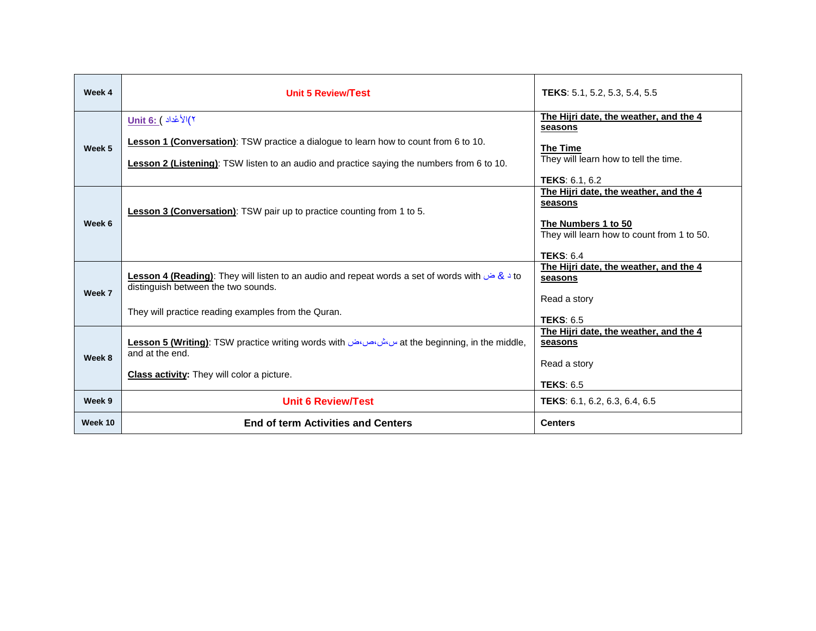| Week 4  | Unit 5 Review/Test                                                                                                                                                                                                        | <b>TEKS:</b> 5.1, 5.2, 5.3, 5.4, 5.5                                                                                                                                |
|---------|---------------------------------------------------------------------------------------------------------------------------------------------------------------------------------------------------------------------------|---------------------------------------------------------------------------------------------------------------------------------------------------------------------|
| Week 5  | y)(۲ عُداد ) <u>:Unit 6</u><br><b>Lesson 1 (Conversation)</b> : TSW practice a dialogue to learn how to count from 6 to 10.<br>Lesson 2 (Listening): TSW listen to an audio and practice saying the numbers from 6 to 10. | The Hijri date, the weather, and the 4<br>seasons<br><b>The Time</b><br>They will learn how to tell the time.                                                       |
| Week 6  | Lesson 3 (Conversation): TSW pair up to practice counting from 1 to 5.                                                                                                                                                    | <b>TEKS: 6.1, 6.2</b><br>The Hijri date, the weather, and the 4<br>seasons<br>The Numbers 1 to 50<br>They will learn how to count from 1 to 50.<br><b>TEKS: 6.4</b> |
| Week 7  | to د & ض Lesson 4 (Reading): They will listen to an audio and repeat words a set of words with حض د Lesson 4<br>distinguish between the two sounds.<br>They will practice reading examples from the Quran.                | The Hijri date, the weather, and the 4<br>seasons<br>Read a story                                                                                                   |
| Week 8  | at the beginning, in the middle, هو at the beginning, in the middle,<br>and at the end.<br><b>Class activity:</b> They will color a picture.                                                                              | <b>TEKS: 6.5</b><br>The Hijri date, the weather, and the 4<br>seasons<br>Read a story<br><b>TEKS: 6.5</b>                                                           |
| Week 9  | <b>Unit 6 Review/Test</b>                                                                                                                                                                                                 | TEKS: 6.1, 6.2, 6.3, 6.4, 6.5                                                                                                                                       |
| Week 10 | <b>End of term Activities and Centers</b>                                                                                                                                                                                 | <b>Centers</b>                                                                                                                                                      |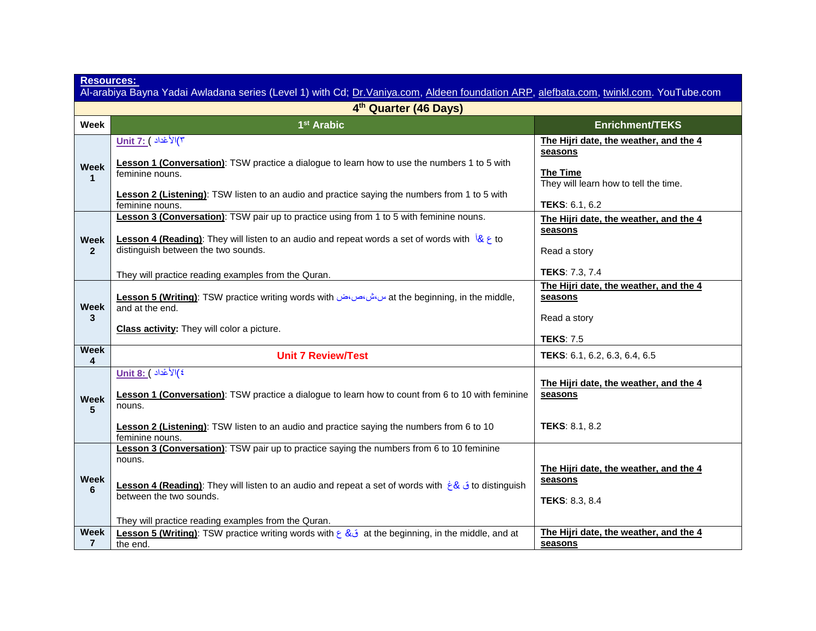| <b>Resources:</b><br>Al-arabiya Bayna Yadai Awladana series (Level 1) with Cd; Dr.Vaniya.com, Aldeen foundation ARP, alefbata.com, twinkl.com. YouTube.com |                                                                                                                                                                                                                                                                                                                       |                                                                                            |
|------------------------------------------------------------------------------------------------------------------------------------------------------------|-----------------------------------------------------------------------------------------------------------------------------------------------------------------------------------------------------------------------------------------------------------------------------------------------------------------------|--------------------------------------------------------------------------------------------|
| 4th Quarter (46 Days)                                                                                                                                      |                                                                                                                                                                                                                                                                                                                       |                                                                                            |
| Week                                                                                                                                                       | 1 <sup>st</sup> Arabic                                                                                                                                                                                                                                                                                                | <b>Enrichment/TEKS</b>                                                                     |
| Week<br>-1                                                                                                                                                 | $Unit$ 7: مُداد ) $\sqrt[3]{(r)}$<br>Lesson 1 (Conversation): TSW practice a dialogue to learn how to use the numbers 1 to 5 with<br>feminine nouns.                                                                                                                                                                  | The Hijri date, the weather, and the 4<br>seasons<br><b>The Time</b>                       |
|                                                                                                                                                            | Lesson 2 (Listening): TSW listen to an audio and practice saying the numbers from 1 to 5 with<br>feminine nouns.                                                                                                                                                                                                      | They will learn how to tell the time.<br>TEKS: 6.1, 6.2                                    |
| <b>Week</b><br>$\overline{2}$                                                                                                                              | <b>Lesson 3 (Conversation)</b> : TSW pair up to practice using from 1 to 5 with feminine nouns.<br><b>Lesson 4 (Reading):</b> They will listen to an audio and repeat words a set of words with $\frac{1}{8}$ $\epsilon$ to<br>distinguish between the two sounds.                                                    | The Hijri date, the weather, and the 4<br>seasons<br>Read a story                          |
| Week<br>3                                                                                                                                                  | They will practice reading examples from the Quran.<br>at the beginning, in the middle, as with المالي at the beginning, in the middle,<br>and at the end.                                                                                                                                                            | <b>TEKS: 7.3, 7.4</b><br>The Hijri date, the weather, and the 4<br>seasons<br>Read a story |
| <b>Week</b>                                                                                                                                                | <b>Class activity:</b> They will color a picture.<br><b>Unit 7 Review/Test</b>                                                                                                                                                                                                                                        | <b>TEKS: 7.5</b><br>TEKS: 6.1, 6.2, 6.3, 6.4, 6.5                                          |
| 4<br><b>Week</b><br>5                                                                                                                                      | <sup>2</sup> )الأعْداد ) :Unit 8<br><b>Lesson 1 (Conversation)</b> : TSW practice a dialogue to learn how to count from 6 to 10 with feminine<br>nouns.                                                                                                                                                               | The Hijri date, the weather, and the 4<br>seasons                                          |
|                                                                                                                                                            | Lesson 2 (Listening): TSW listen to an audio and practice saying the numbers from 6 to 10<br>feminine nouns.                                                                                                                                                                                                          | <b>TEKS: 8.1, 8.2</b>                                                                      |
| <b>Week</b><br>6                                                                                                                                           | Lesson 3 (Conversation): TSW pair up to practice saying the numbers from 6 to 10 feminine<br>nouns.<br>to distinguish فَ & غ Lesson 4 (Reading): They will listen to an audio and repeat a set of words with ightard to distinguish<br>between the two sounds.<br>They will practice reading examples from the Quran. | The Hijri date, the weather, and the 4<br>seasons<br><b>TEKS: 8.3, 8.4</b>                 |
| Week<br>$\overline{7}$                                                                                                                                     | Lesson 5 (Writing): TSW practice writing words with $\xi$ & it the beginning, in the middle, and at<br>the end.                                                                                                                                                                                                       | The Hijri date, the weather, and the 4<br>seasons                                          |